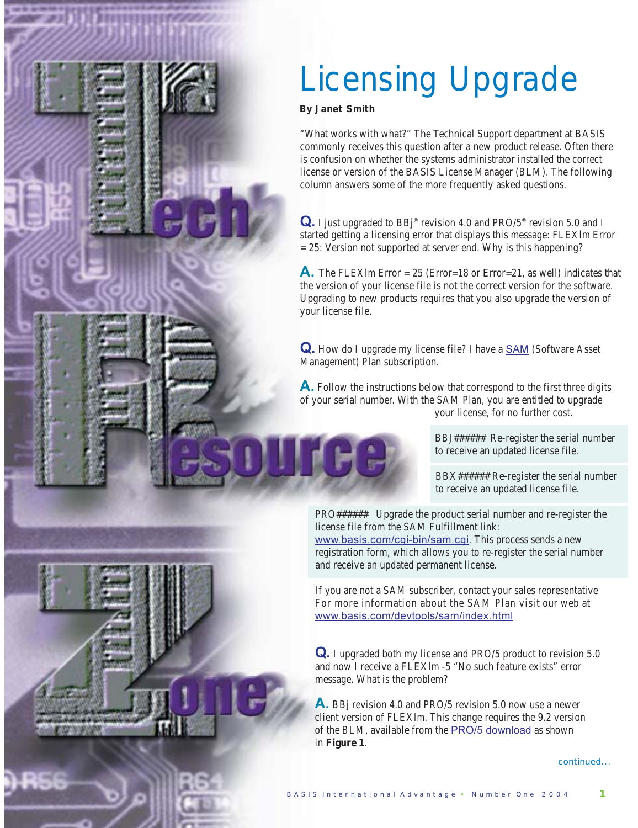## Licensing Upgrade

*By Janet Smith*

まさぐとさなる ひきさく インシン

"What works with what?" The Technical Support department at BASIS commonly receives this question after a new product release. Often there is confusion on whether the systems administrator installed the correct license or version of the BASIS License Manager (BLM). The following column answers some of the more frequently asked questions.

Q. I just upgraded to BBj® revision 4.0 and PRO/5® revision 5.0 and I started getting a licensing error that displays this message: FLEX*lm* Error = 25: Version not supported at server end. Why is this happening?

**-** The FLEX*lm* Error = 25 (Error=18 or Error=21, as well) indicates that the version of your license file is not the correct version for the software. Upgrading to new products requires that you also upgrade the version of your license file.

Q. How do I upgrade my license file? I have a **SAM** (Software Asset Management) Plan subscription.

A. Follow the instructions below that correspond to the first three digits of your serial number. With the SAM Plan, you are entitled to upgrade your license, for no further cost.

> BBJ###### Re-register the serial number to receive an updated license file.

> BBX###### Re-register the serial number to receive an updated license file.

PRO###### Upgrade the product serial number and re-register the license file from the SAM Fulfillment link:

<u>www.basis.com/cgi-bin/sam.cgi</u>. This process sends a new registration form, which allows you to re-register the serial number and receive an updated permanent license.

If you are not a SAM subscriber, contact your sales representative For more information about the SAM Plan visit our web at <u>www.basis.com/devtools/sam/index.html</u>

**Q.** I upgraded both my license and PRO/5 product to revision 5.0 and now I receive a FLEX*lm* -5 "No such feature exists" error message. What is the problem?

**A**. BBj revision 4.0 and PRO/5 revision 5.0 now use a newer client version of FLEX*lm*. This change requires the 9.2 version of the BLM, available from the  $PRO/5$  download as shown in **Figure 1**.

continued...